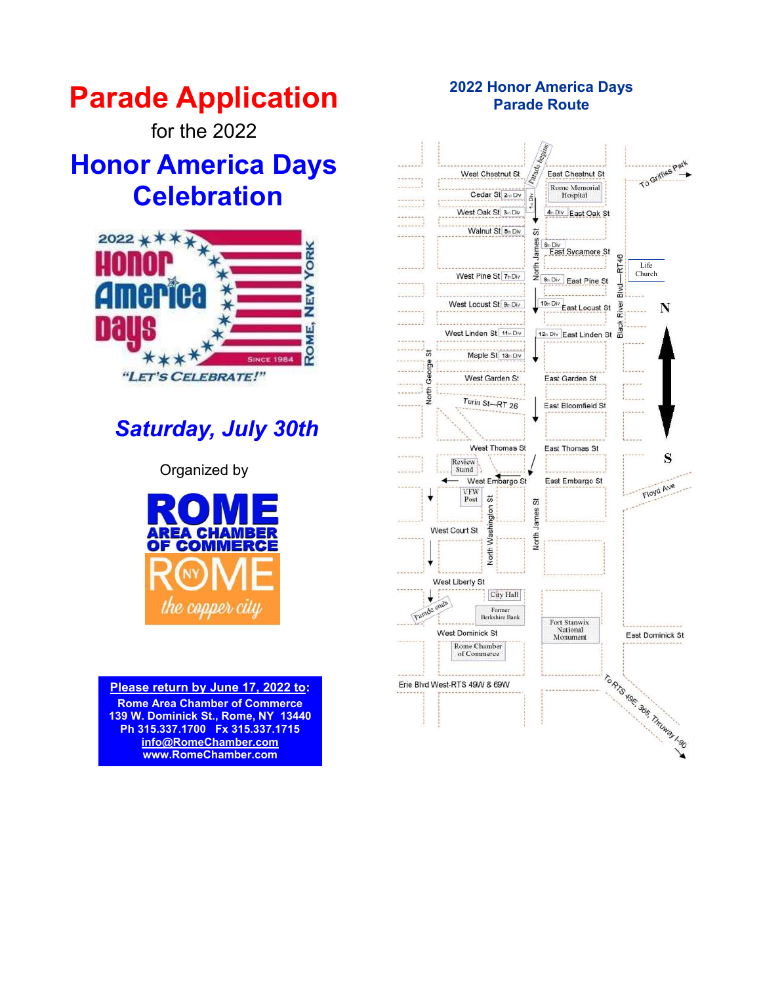for the 2022

# **Honor America Days Celebration**



# *Saturday, July 30th*

Organized by



#### **Please return by June 17, 2022 to:**

**Rome Area Chamber of Commerce 139 W. Dominick St., Rome, NY 13440 Ph 315.337.1700 Fx 315.337.1715 [info@RomeChamber.com](mailto:info@romechamber.com)  www.RomeChamber.com** 

## **2022 Honor America Days Parade Route**

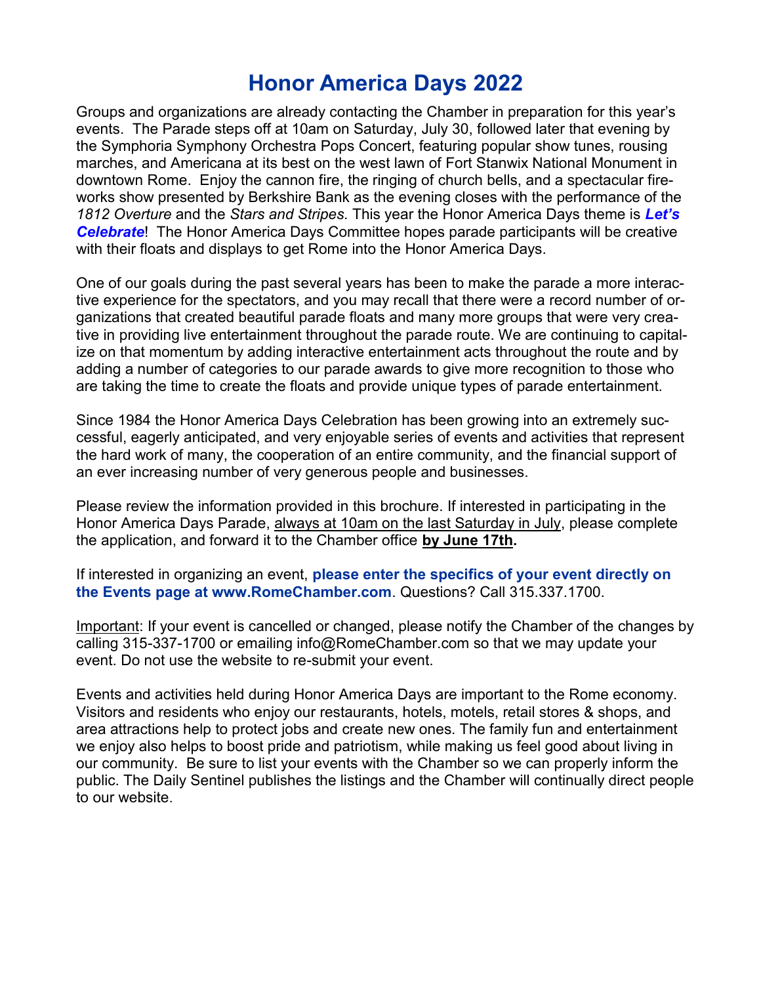## **Honor America Days 2022**

Groups and organizations are already contacting the Chamber in preparation for this year's events. The Parade steps off at 10am on Saturday, July 30, followed later that evening by the Symphoria Symphony Orchestra Pops Concert, featuring popular show tunes, rousing marches, and Americana at its best on the west lawn of Fort Stanwix National Monument in downtown Rome. Enjoy the cannon fire, the ringing of church bells, and a spectacular fireworks show presented by Berkshire Bank as the evening closes with the performance of the *1812 Overture* and the *Stars and Stripes.* This year the Honor America Days theme is *Let's Celebrate*! The Honor America Days Committee hopes parade participants will be creative with their floats and displays to get Rome into the Honor America Days.

One of our goals during the past several years has been to make the parade a more interactive experience for the spectators, and you may recall that there were a record number of organizations that created beautiful parade floats and many more groups that were very creative in providing live entertainment throughout the parade route. We are continuing to capitalize on that momentum by adding interactive entertainment acts throughout the route and by adding a number of categories to our parade awards to give more recognition to those who are taking the time to create the floats and provide unique types of parade entertainment.

Since 1984 the Honor America Days Celebration has been growing into an extremely successful, eagerly anticipated, and very enjoyable series of events and activities that represent the hard work of many, the cooperation of an entire community, and the financial support of an ever increasing number of very generous people and businesses.

Please review the information provided in this brochure. If interested in participating in the Honor America Days Parade, always at 10am on the last Saturday in July, please complete the application, and forward it to the Chamber office **by June 17th.**

If interested in organizing an event, **please enter the specifics of your event directly on the Events page at www.RomeChamber.com**. Questions? Call 315.337.1700.

Important: If your event is cancelled or changed, please notify the Chamber of the changes by calling 315-337-1700 or emailing info@RomeChamber.com so that we may update your event. Do not use the website to re-submit your event.

Events and activities held during Honor America Days are important to the Rome economy. Visitors and residents who enjoy our restaurants, hotels, motels, retail stores & shops, and area attractions help to protect jobs and create new ones. The family fun and entertainment we enjoy also helps to boost pride and patriotism, while making us feel good about living in our community. Be sure to list your events with the Chamber so we can properly inform the public. The Daily Sentinel publishes the listings and the Chamber will continually direct people to our website.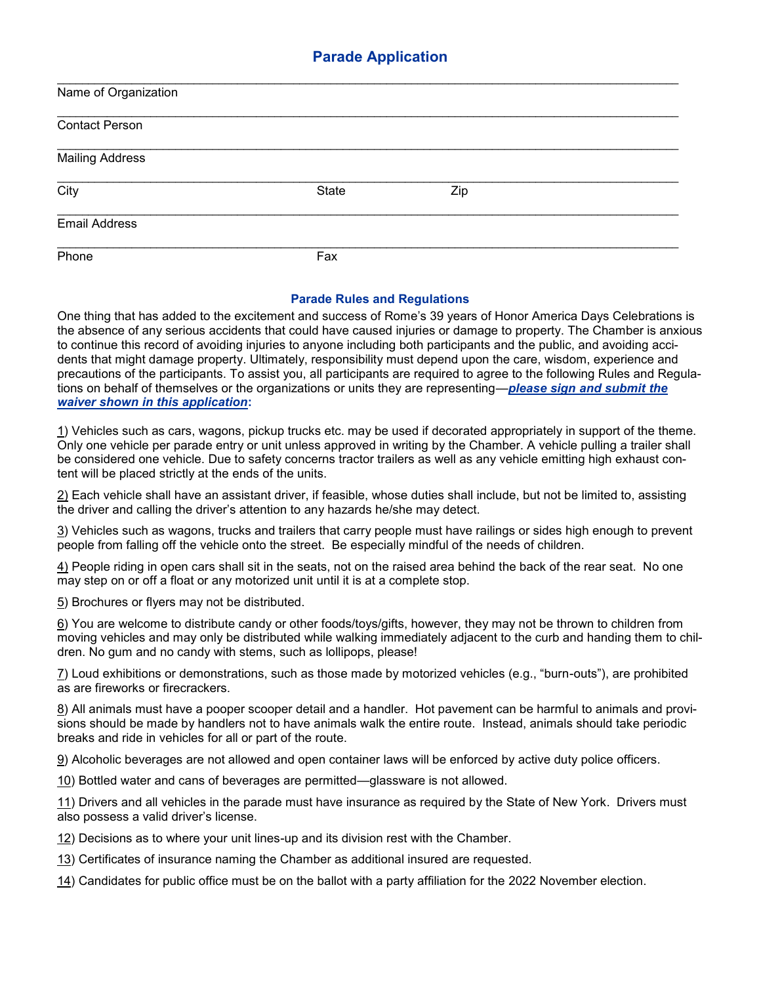| Name of Organization       |       |     |  |
|----------------------------|-------|-----|--|
| <b>Contact Person</b>      |       |     |  |
| <b>Mailing Address</b>     |       |     |  |
| $\overline{\mathrm{City}}$ | State | Zip |  |
| <b>Email Address</b>       |       |     |  |
| Phone                      | Fax   |     |  |

#### **Parade Rules and Regulations**

One thing that has added to the excitement and success of Rome's 39 years of Honor America Days Celebrations is the absence of any serious accidents that could have caused injuries or damage to property. The Chamber is anxious to continue this record of avoiding injuries to anyone including both participants and the public, and avoiding accidents that might damage property. Ultimately, responsibility must depend upon the care, wisdom, experience and precautions of the participants. To assist you, all participants are required to agree to the following Rules and Regulations on behalf of themselves or the organizations or units they are representing—*please sign and submit the waiver shown in this application***:** 

1) Vehicles such as cars, wagons, pickup trucks etc. may be used if decorated appropriately in support of the theme. Only one vehicle per parade entry or unit unless approved in writing by the Chamber. A vehicle pulling a trailer shall be considered one vehicle. Due to safety concerns tractor trailers as well as any vehicle emitting high exhaust content will be placed strictly at the ends of the units.

2) Each vehicle shall have an assistant driver, if feasible, whose duties shall include, but not be limited to, assisting the driver and calling the driver's attention to any hazards he/she may detect.

3) Vehicles such as wagons, trucks and trailers that carry people must have railings or sides high enough to prevent people from falling off the vehicle onto the street. Be especially mindful of the needs of children.

4) People riding in open cars shall sit in the seats, not on the raised area behind the back of the rear seat. No one may step on or off a float or any motorized unit until it is at a complete stop.

5) Brochures or flyers may not be distributed.

6) You are welcome to distribute candy or other foods/toys/gifts, however, they may not be thrown to children from moving vehicles and may only be distributed while walking immediately adjacent to the curb and handing them to children. No gum and no candy with stems, such as lollipops, please!

7) Loud exhibitions or demonstrations, such as those made by motorized vehicles (e.g., "burn-outs"), are prohibited as are fireworks or firecrackers.

8) All animals must have a pooper scooper detail and a handler. Hot pavement can be harmful to animals and provisions should be made by handlers not to have animals walk the entire route. Instead, animals should take periodic breaks and ride in vehicles for all or part of the route.

9) Alcoholic beverages are not allowed and open container laws will be enforced by active duty police officers.

10) Bottled water and cans of beverages are permitted—glassware is not allowed.

11) Drivers and all vehicles in the parade must have insurance as required by the State of New York. Drivers must also possess a valid driver's license.

12) Decisions as to where your unit lines-up and its division rest with the Chamber.

13) Certificates of insurance naming the Chamber as additional insured are requested.

14) Candidates for public office must be on the ballot with a party affiliation for the 2022 November election.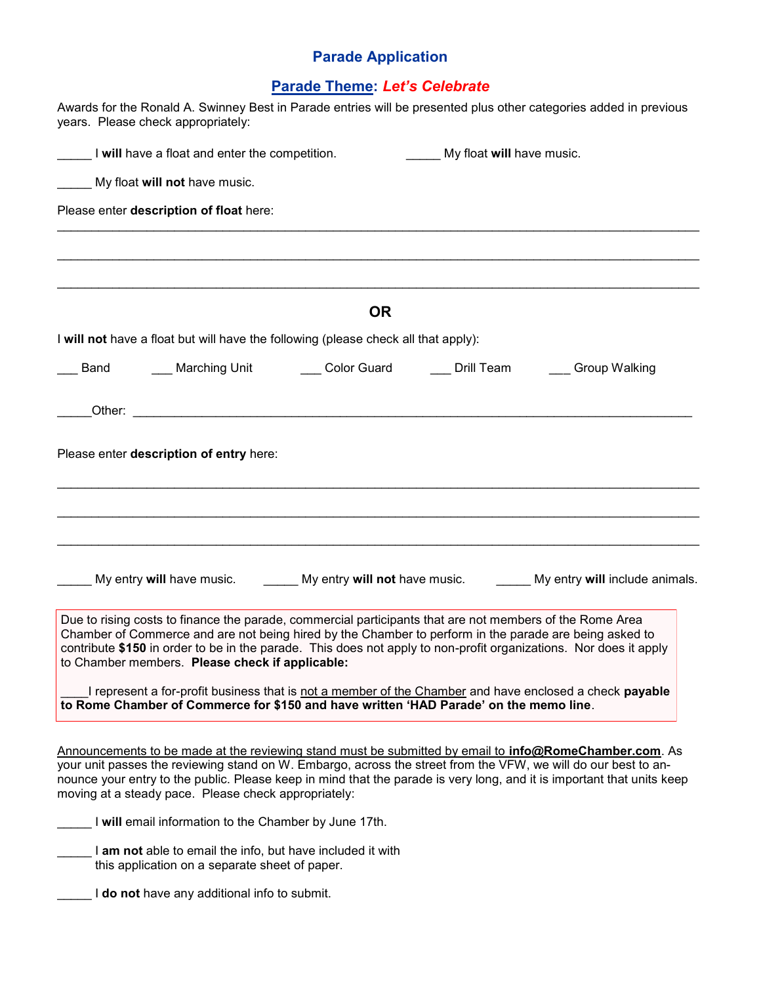## **Parade Theme:** *Let's Celebrate*

|                                                | years. Please check appropriately:                                                                           |                                                                                                                                                                                                                                                                                                             |                   | Awards for the Ronald A. Swinney Best in Parade entries will be presented plus other categories added in previous                                                                                                                                                                                                                                          |
|------------------------------------------------|--------------------------------------------------------------------------------------------------------------|-------------------------------------------------------------------------------------------------------------------------------------------------------------------------------------------------------------------------------------------------------------------------------------------------------------|-------------------|------------------------------------------------------------------------------------------------------------------------------------------------------------------------------------------------------------------------------------------------------------------------------------------------------------------------------------------------------------|
| I will have a float and enter the competition. | My float will have music.                                                                                    |                                                                                                                                                                                                                                                                                                             |                   |                                                                                                                                                                                                                                                                                                                                                            |
|                                                | My float will not have music.                                                                                |                                                                                                                                                                                                                                                                                                             |                   |                                                                                                                                                                                                                                                                                                                                                            |
|                                                | Please enter description of float here:                                                                      |                                                                                                                                                                                                                                                                                                             |                   |                                                                                                                                                                                                                                                                                                                                                            |
|                                                |                                                                                                              |                                                                                                                                                                                                                                                                                                             |                   |                                                                                                                                                                                                                                                                                                                                                            |
|                                                |                                                                                                              | <b>OR</b>                                                                                                                                                                                                                                                                                                   |                   |                                                                                                                                                                                                                                                                                                                                                            |
|                                                |                                                                                                              | I will not have a float but will have the following (please check all that apply):                                                                                                                                                                                                                          |                   |                                                                                                                                                                                                                                                                                                                                                            |
| Band                                           | ___ Marching Unit                                                                                            | Color Guard                                                                                                                                                                                                                                                                                                 | <b>Drill Team</b> | Group Walking                                                                                                                                                                                                                                                                                                                                              |
|                                                |                                                                                                              |                                                                                                                                                                                                                                                                                                             |                   |                                                                                                                                                                                                                                                                                                                                                            |
|                                                |                                                                                                              |                                                                                                                                                                                                                                                                                                             |                   |                                                                                                                                                                                                                                                                                                                                                            |
|                                                |                                                                                                              |                                                                                                                                                                                                                                                                                                             |                   | My entry will have music. My entry will not have music. My entry will include animals.                                                                                                                                                                                                                                                                     |
|                                                | to Chamber members. Please check if applicable:                                                              | Due to rising costs to finance the parade, commercial participants that are not members of the Rome Area<br>Chamber of Commerce and are not being hired by the Chamber to perform in the parade are being asked to<br>to Rome Chamber of Commerce for \$150 and have written 'HAD Parade' on the memo line. |                   | contribute \$150 in order to be in the parade. This does not apply to non-profit organizations. Nor does it apply<br>I represent a for-profit business that is not a member of the Chamber and have enclosed a check payable                                                                                                                               |
|                                                |                                                                                                              |                                                                                                                                                                                                                                                                                                             |                   |                                                                                                                                                                                                                                                                                                                                                            |
|                                                | moving at a steady pace. Please check appropriately:                                                         |                                                                                                                                                                                                                                                                                                             |                   | Announcements to be made at the reviewing stand must be submitted by email to <b>info@RomeChamber.com</b> . As<br>your unit passes the reviewing stand on W. Embargo, across the street from the VFW, we will do our best to an-<br>nounce your entry to the public. Please keep in mind that the parade is very long, and it is important that units keep |
|                                                | I will email information to the Chamber by June 17th.                                                        |                                                                                                                                                                                                                                                                                                             |                   |                                                                                                                                                                                                                                                                                                                                                            |
|                                                | I am not able to email the info, but have included it with<br>this application on a separate sheet of paper. |                                                                                                                                                                                                                                                                                                             |                   |                                                                                                                                                                                                                                                                                                                                                            |
|                                                | I do not have any additional info to submit.                                                                 |                                                                                                                                                                                                                                                                                                             |                   |                                                                                                                                                                                                                                                                                                                                                            |